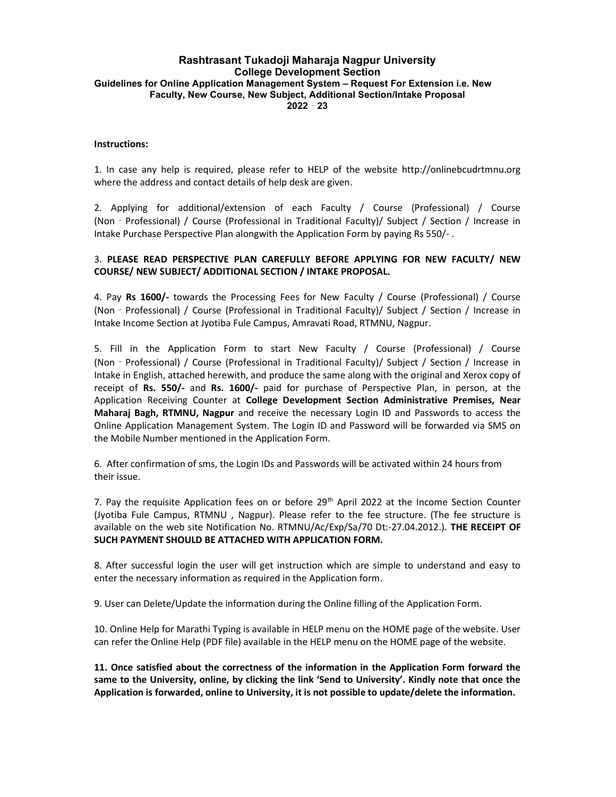### Rashtrasant Tukadoji Maharaja Nagpur University College Development Section Guidelines for Online Application Management System – Request For Extension i.e. New Faculty, New Course, New Subject, Additional Section/Intake Proposal 2022‐23

#### Instructions:

1. In case any help is required, please refer to HELP of the website http://onlinebcudrtmnu.org where the address and contact details of help desk are given.

2. Applying for additional/extension of each Faculty / Course (Professional) / Course (Non - Professional) / Course (Professional in Traditional Faculty)/ Subject / Section / Increase in Intake Purchase Perspective Plan alongwith the Application Form by paying Rs 550/- .

### 3. PLEASE READ PERSPECTIVE PLAN CAREFULLY BEFORE APPLYING FOR NEW FACULTY/ NEW COURSE/ NEW SUBJECT/ ADDITIONAL SECTION / INTAKE PROPOSAL.

4. Pay Rs 1600/- towards the Processing Fees for New Faculty / Course (Professional) / Course (Non‐Professional) / Course (Professional in Traditional Faculty)/ Subject / Section / Increase in Intake Income Section at Jyotiba Fule Campus, Amravati Road, RTMNU, Nagpur.

5. Fill in the Application Form to start New Faculty / Course (Professional) / Course (Non‐Professional) / Course (Professional in Traditional Faculty)/ Subject / Section / Increase in Intake in English, attached herewith, and produce the same along with the original and Xerox copy of receipt of Rs. 550/- and Rs. 1600/- paid for purchase of Perspective Plan, in person, at the Application Receiving Counter at College Development Section Administrative Premises, Near Maharaj Bagh, RTMNU, Nagpur and receive the necessary Login ID and Passwords to access the Online Application Management System. The Login ID and Password will be forwarded via SMS on the Mobile Number mentioned in the Application Form.

6. After confirmation of sms, the Login IDs and Passwords will be activated within 24 hours from their issue.

7. Pay the requisite Application fees on or before  $29<sup>th</sup>$  April 2022 at the Income Section Counter (Jyotiba Fule Campus, RTMNU , Nagpur). Please refer to the fee structure. (The fee structure is available on the web site Notification No. RTMNU/Ac/Exp/Sa/70 Dt:-27.04.2012.). THE RECEIPT OF SUCH PAYMENT SHOULD BE ATTACHED WITH APPLICATION FORM.

8. After successful login the user will get instruction which are simple to understand and easy to enter the necessary information as required in the Application form.

9. User can Delete/Update the information during the Online filling of the Application Form.

10. Online Help for Marathi Typing is available in HELP menu on the HOME page of the website. User can refer the Online Help (PDF file) available in the HELP menu on the HOME page of the website.

11. Once satisfied about the correctness of the information in the Application Form forward the same to the University, online, by clicking the link 'Send to University'. Kindly note that once the Application is forwarded, online to University, it is not possible to update/delete the information.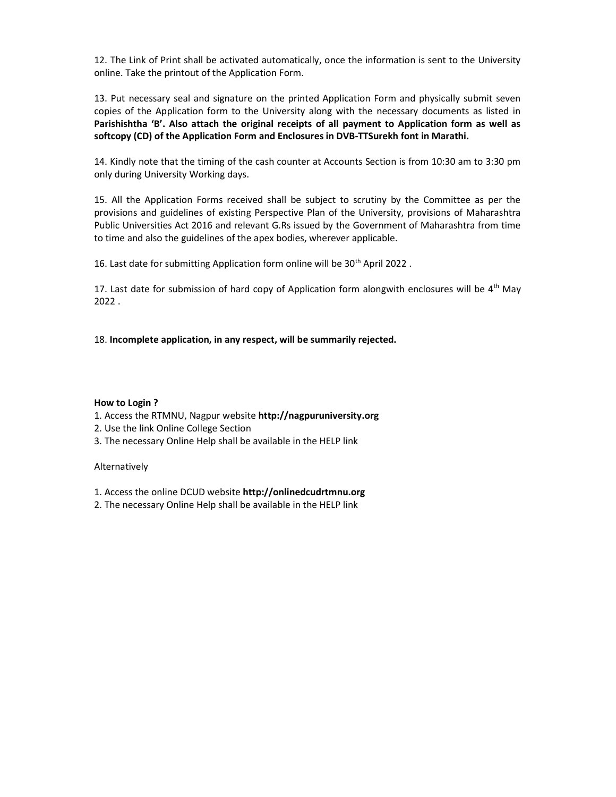12. The Link of Print shall be activated automatically, once the information is sent to the University online. Take the printout of the Application Form.

13. Put necessary seal and signature on the printed Application Form and physically submit seven copies of the Application form to the University along with the necessary documents as listed in Parishishtha 'B'. Also attach the original receipts of all payment to Application form as well as softcopy (CD) of the Application Form and Enclosures in DVB-TTSurekh font in Marathi.

14. Kindly note that the timing of the cash counter at Accounts Section is from 10:30 am to 3:30 pm only during University Working days.

15. All the Application Forms received shall be subject to scrutiny by the Committee as per the provisions and guidelines of existing Perspective Plan of the University, provisions of Maharashtra Public Universities Act 2016 and relevant G.Rs issued by the Government of Maharashtra from time to time and also the guidelines of the apex bodies, wherever applicable.

16. Last date for submitting Application form online will be 30<sup>th</sup> April 2022.

17. Last date for submission of hard copy of Application form alongwith enclosures will be  $4<sup>th</sup>$  May 2022 .

### 18. Incomplete application, in any respect, will be summarily rejected.

### How to Login ?

- 1. Access the RTMNU, Nagpur website http://nagpuruniversity.org
- 2. Use the link Online College Section
- 3. The necessary Online Help shall be available in the HELP link

### Alternatively

- 1. Access the online DCUD website http://onlinedcudrtmnu.org
- 2. The necessary Online Help shall be available in the HELP link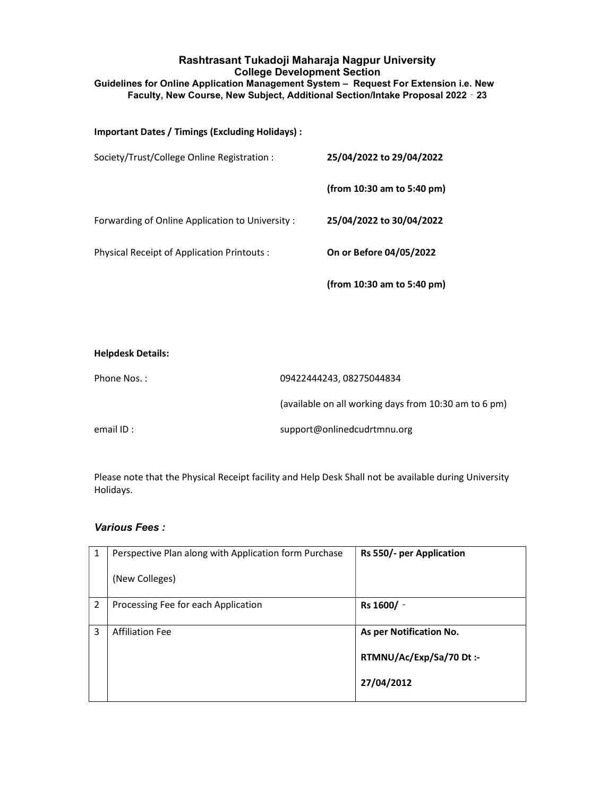## Rashtrasant Tukadoji Maharaja Nagpur University College Development Section Guidelines for Online Application Management System – Request For Extension i.e. New Faculty, New Course, New Subject, Additional Section/Intake Proposal 2022‐23

## Important Dates / Timings (Excluding Holidays) :

| Society/Trust/College Online Registration:      | 25/04/2022 to 29/04/2022     |
|-------------------------------------------------|------------------------------|
|                                                 | $(from 10:30$ am to 5:40 pm) |
| Forwarding of Online Application to University: | 25/04/2022 to 30/04/2022     |
| Physical Receipt of Application Printouts :     | On or Before 04/05/2022      |
|                                                 | (from 10:30 am to 5:40 pm)   |

| <b>Helpdesk Details:</b> |                                                       |
|--------------------------|-------------------------------------------------------|
| Phone Nos.:              | 09422444243, 08275044834                              |
|                          | (available on all working days from 10:30 am to 6 pm) |
| email ID:                | support@onlinedcudrtmnu.org                           |

Please note that the Physical Receipt facility and Help Desk Shall not be available during University Holidays.

## Various Fees :

| 1 | Perspective Plan along with Application form Purchase<br>(New Colleges) | Rs 550/- per Application                                         |
|---|-------------------------------------------------------------------------|------------------------------------------------------------------|
| 2 | Processing Fee for each Application                                     | Rs 1600/ -                                                       |
| 3 | <b>Affiliation Fee</b>                                                  | As per Notification No.<br>RTMNU/Ac/Exp/Sa/70 Dt:-<br>27/04/2012 |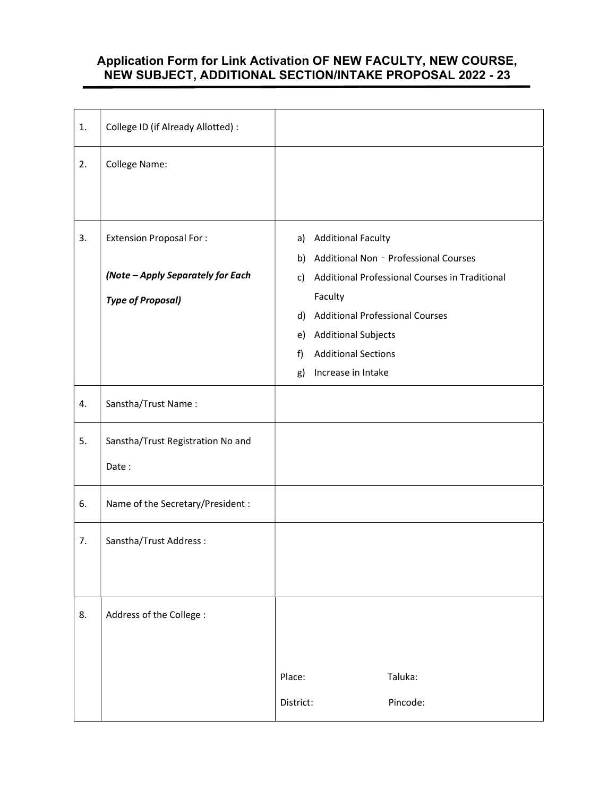# Application Form for Link Activation OF NEW FACULTY, NEW COURSE, NEW SUBJECT, ADDITIONAL SECTION/INTAKE PROPOSAL 2022 - 23

| 1. | College ID (if Already Allotted) : |                                                      |  |
|----|------------------------------------|------------------------------------------------------|--|
| 2. | College Name:                      |                                                      |  |
|    |                                    |                                                      |  |
|    |                                    |                                                      |  |
| 3. | <b>Extension Proposal For:</b>     | <b>Additional Faculty</b><br>a)                      |  |
|    |                                    | b) Additional Non - Professional Courses             |  |
|    | (Note - Apply Separately for Each  | Additional Professional Courses in Traditional<br>c) |  |
|    | <b>Type of Proposal)</b>           | Faculty                                              |  |
|    |                                    | <b>Additional Professional Courses</b><br>d)         |  |
|    |                                    | <b>Additional Subjects</b><br>e)                     |  |
|    |                                    | <b>Additional Sections</b><br>f)                     |  |
|    |                                    | Increase in Intake<br>g)                             |  |
| 4. | Sanstha/Trust Name:                |                                                      |  |
| 5. | Sanstha/Trust Registration No and  |                                                      |  |
|    | Date:                              |                                                      |  |
| 6. | Name of the Secretary/President :  |                                                      |  |
| 7. | Sanstha/Trust Address:             |                                                      |  |
|    |                                    |                                                      |  |
|    |                                    |                                                      |  |
| 8. | Address of the College :           |                                                      |  |
|    |                                    |                                                      |  |
|    |                                    |                                                      |  |
|    |                                    | Place:<br>Taluka:                                    |  |
|    |                                    | Pincode:<br>District:                                |  |